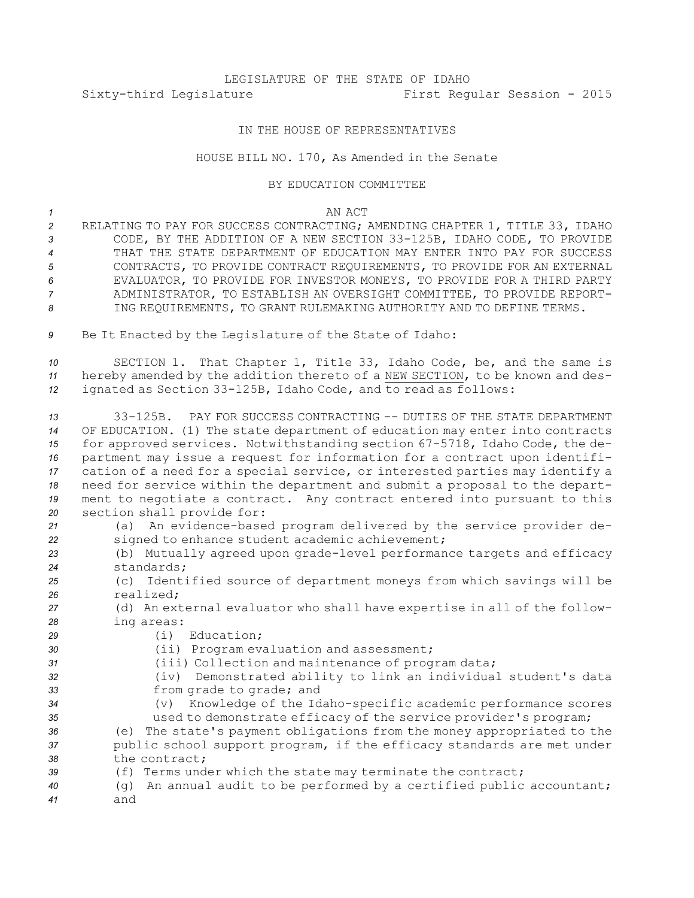# LEGISLATURE OF THE STATE OF IDAHO Sixty-third Legislature First Regular Session - 2015

# IN THE HOUSE OF REPRESENTATIVES

## HOUSE BILL NO. 170, As Amended in the Senate

### BY EDUCATION COMMITTEE

### *1* AN ACT

- *<sup>2</sup>* RELATING TO PAY FOR SUCCESS CONTRACTING; AMENDING CHAPTER 1, TITLE 33, IDAHO *<sup>3</sup>* CODE, BY THE ADDITION OF A NEW SECTION 33-125B, IDAHO CODE, TO PROVIDE *4* THAT THE STATE DEPARTMENT OF EDUCATION MAY ENTER INTO PAY FOR SUCCESS *5* CONTRACTS, TO PROVIDE CONTRACT REQUIREMENTS, TO PROVIDE FOR AN EXTERNAL *6* EVALUATOR, TO PROVIDE FOR INVESTOR MONEYS, TO PROVIDE FOR A THIRD PARTY *7* ADMINISTRATOR, TO ESTABLISH AN OVERSIGHT COMMITTEE, TO PROVIDE REPORT-*8* ING REQUIREMENTS, TO GRANT RULEMAKING AUTHORITY AND TO DEFINE TERMS.
- *<sup>9</sup>* Be It Enacted by the Legislature of the State of Idaho:

*<sup>10</sup>* SECTION 1. That Chapter 1, Title 33, Idaho Code, be, and the same is *<sup>11</sup>* hereby amended by the addition thereto of <sup>a</sup> NEW SECTION, to be known and des-*<sup>12</sup>* ignated as Section 33-125B, Idaho Code, and to read as follows:

 33-125B. PAY FOR SUCCESS CONTRACTING -- DUTIES OF THE STATE DEPARTMENT OF EDUCATION. (1) The state department of education may enter into contracts for approved services. Notwithstanding section 67-5718, Idaho Code, the de- partment may issue <sup>a</sup> request for information for <sup>a</sup> contract upon identifi- cation of <sup>a</sup> need for <sup>a</sup> special service, or interested parties may identify <sup>a</sup> need for service within the department and submit <sup>a</sup> proposal to the depart- ment to negotiate <sup>a</sup> contract. Any contract entered into pursuant to this section shall provide for:

- *<sup>21</sup>* (a) An evidence-based program delivered by the service provider de-*<sup>22</sup>* signed to enhance student academic achievement;
- *<sup>23</sup>* (b) Mutually agreed upon grade-level performance targets and efficacy *24* standards;
- *<sup>25</sup>* (c) Identified source of department moneys from which savings will be *26* realized;
- *<sup>27</sup>* (d) An external evaluator who shall have expertise in all of the follow-*<sup>28</sup>* ing areas:
- *29* (i) Education;
- *<sup>30</sup>* (ii) Program evaluation and assessment;
- *<sup>31</sup>* (iii) Collection and maintenance of program data;
- *<sup>32</sup>* (iv) Demonstrated ability to link an individual student's data *<sup>33</sup>* from grade to grade; and
- *<sup>34</sup>* (v) Knowledge of the Idaho-specific academic performance scores *<sup>35</sup>* used to demonstrate efficacy of the service provider's program;

*<sup>36</sup>* (e) The state's payment obligations from the money appropriated to the *<sup>37</sup>* public school support program, if the efficacy standards are met under *38* the contract;

- *<sup>39</sup>* (f) Terms under which the state may terminate the contract;
- *<sup>40</sup>* (g) An annual audit to be performed by <sup>a</sup> certified public accountant; *41* and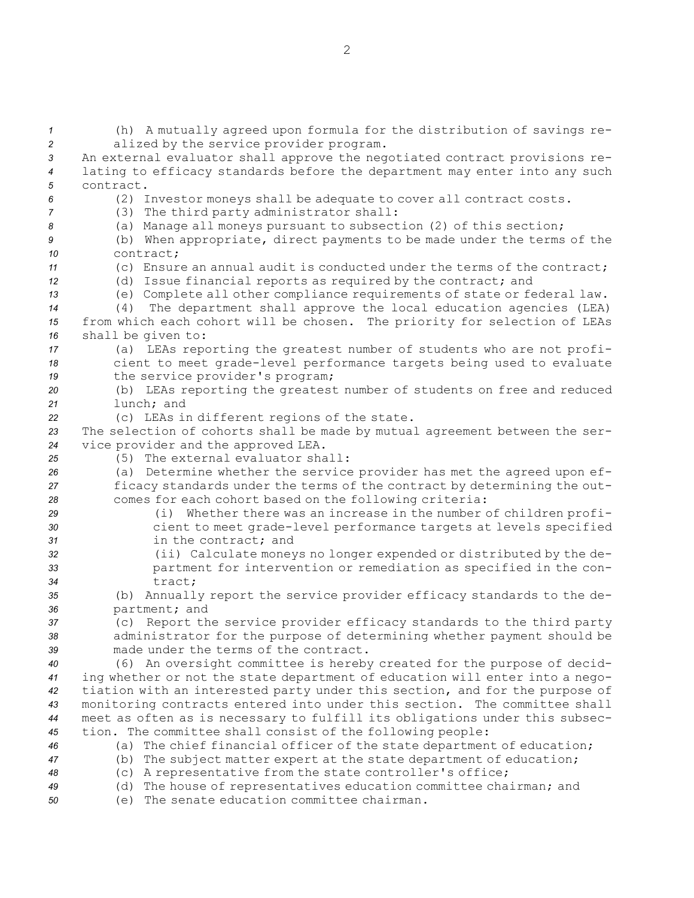(h) <sup>A</sup> mutually agreed upon formula for the distribution of savings re- alized by the service provider program. An external evaluator shall approve the negotiated contract provisions re- lating to efficacy standards before the department may enter into any such contract. (2) Investor moneys shall be adequate to cover all contract costs. (3) The third party administrator shall: (a) Manage all moneys pursuant to subsection (2) of this section; (b) When appropriate, direct payments to be made under the terms of the contract; (c) Ensure an annual audit is conducted under the terms of the contract; (d) Issue financial reports as required by the contract; and (e) Complete all other compliance requirements of state or federal law. (4) The department shall approve the local education agencies (LEA) from which each cohort will be chosen. The priority for selection of LEAs shall be given to: (a) LEAs reporting the greatest number of students who are not profi- cient to meet grade-level performance targets being used to evaluate the service provider's program; (b) LEAs reporting the greatest number of students on free and reduced lunch; and (c) LEAs in different regions of the state. The selection of cohorts shall be made by mutual agreement between the ser- vice provider and the approved LEA. (5) The external evaluator shall: (a) Determine whether the service provider has met the agreed upon ef- ficacy standards under the terms of the contract by determining the out- comes for each cohort based on the following criteria: (i) Whether there was an increase in the number of children profi- cient to meet grade-level performance targets at levels specified in the contract; and (ii) Calculate moneys no longer expended or distributed by the de- partment for intervention or remediation as specified in the con-*34* tract; (b) Annually report the service provider efficacy standards to the de- partment; and (c) Report the service provider efficacy standards to the third party administrator for the purpose of determining whether payment should be made under the terms of the contract. (6) An oversight committee is hereby created for the purpose of decid- ing whether or not the state department of education will enter into <sup>a</sup> nego- tiation with an interested party under this section, and for the purpose of monitoring contracts entered into under this section. The committee shall meet as often as is necessary to fulfill its obligations under this subsec- tion. The committee shall consist of the following people: (a) The chief financial officer of the state department of education; (b) The subject matter expert at the state department of education; (c) <sup>A</sup> representative from the state controller's office; (d) The house of representatives education committee chairman; and (e) The senate education committee chairman.

2